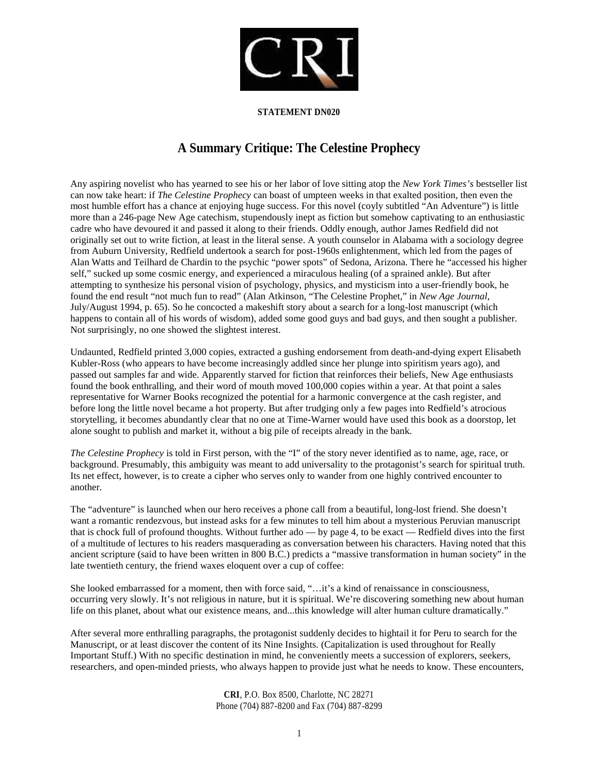

## **STATEMENT DN020**

## **A Summary Critique: The Celestine Prophecy**

Any aspiring novelist who has yearned to see his or her labor of love sitting atop the *New York Times's* bestseller list can now take heart: if *The Celestine Prophecy* can boast of umpteen weeks in that exalted position, then even the most humble effort has a chance at enjoying huge success. For this novel (coyly subtitled "An Adventure") is little more than a 246-page New Age catechism, stupendously inept as fiction but somehow captivating to an enthusiastic cadre who have devoured it and passed it along to their friends. Oddly enough, author James Redfield did not originally set out to write fiction, at least in the literal sense. A youth counselor in Alabama with a sociology degree from Auburn University, Redfield undertook a search for post-1960s enlightenment, which led from the pages of Alan Watts and Teilhard de Chardin to the psychic "power spots" of Sedona, Arizona. There he "accessed his higher self," sucked up some cosmic energy, and experienced a miraculous healing (of a sprained ankle). But after attempting to synthesize his personal vision of psychology, physics, and mysticism into a user-friendly book, he found the end result "not much fun to read" (Alan Atkinson, "The Celestine Prophet," in *New Age Journal*, July/August 1994, p. 65). So he concocted a makeshift story about a search for a long-lost manuscript (which happens to contain all of his words of wisdom), added some good guys and bad guys, and then sought a publisher. Not surprisingly, no one showed the slightest interest.

Undaunted, Redfield printed 3,000 copies, extracted a gushing endorsement from death-and-dying expert Elisabeth Kubler-Ross (who appears to have become increasingly addled since her plunge into spiritism years ago), and passed out samples far and wide. Apparently starved for fiction that reinforces their beliefs, New Age enthusiasts found the book enthralling, and their word of mouth moved 100,000 copies within a year. At that point a sales representative for Warner Books recognized the potential for a harmonic convergence at the cash register, and before long the little novel became a hot property. But after trudging only a few pages into Redfield's atrocious storytelling, it becomes abundantly clear that no one at Time-Warner would have used this book as a doorstop, let alone sought to publish and market it, without a big pile of receipts already in the bank.

*The Celestine Prophecy* is told in First person, with the "I" of the story never identified as to name, age, race, or background. Presumably, this ambiguity was meant to add universality to the protagonist's search for spiritual truth. Its net effect, however, is to create a cipher who serves only to wander from one highly contrived encounter to another.

The "adventure" is launched when our hero receives a phone call from a beautiful, long-lost friend. She doesn't want a romantic rendezvous, but instead asks for a few minutes to tell him about a mysterious Peruvian manuscript that is chock full of profound thoughts. Without further ado — by page 4, to be exact — Redfield dives into the first of a multitude of lectures to his readers masquerading as conversation between his characters. Having noted that this ancient scripture (said to have been written in 800 B.C.) predicts a "massive transformation in human society" in the late twentieth century, the friend waxes eloquent over a cup of coffee:

She looked embarrassed for a moment, then with force said, "…it's a kind of renaissance in consciousness, occurring very slowly. It's not religious in nature, but it is spiritual. We're discovering something new about human life on this planet, about what our existence means, and...this knowledge will alter human culture dramatically."

After several more enthralling paragraphs, the protagonist suddenly decides to hightail it for Peru to search for the Manuscript, or at least discover the content of its Nine Insights. (Capitalization is used throughout for Really Important Stuff.) With no specific destination in mind, he conveniently meets a succession of explorers, seekers, researchers, and open-minded priests, who always happen to provide just what he needs to know. These encounters,

> **CRI**, P.O. Box 8500, Charlotte, NC 28271 Phone (704) 887-8200 and Fax (704) 887-8299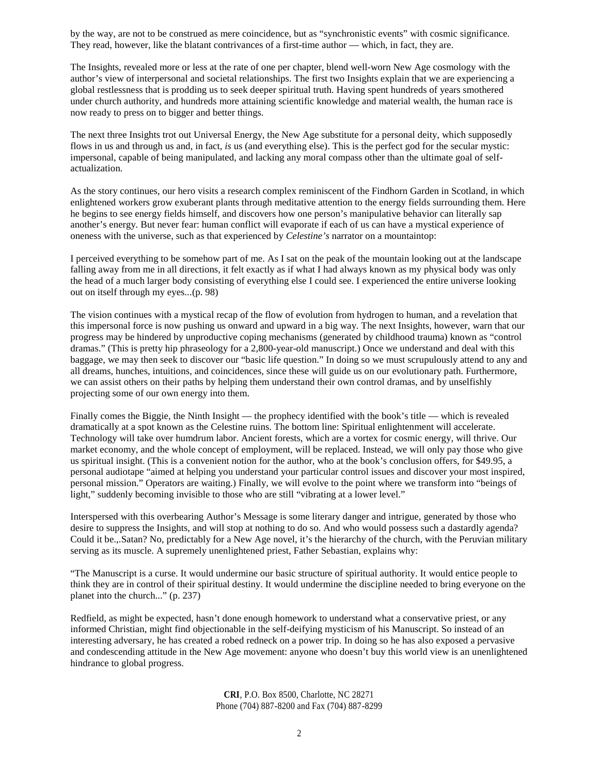by the way, are not to be construed as mere coincidence, but as "synchronistic events" with cosmic significance. They read, however, like the blatant contrivances of a first-time author — which, in fact, they are.

The Insights, revealed more or less at the rate of one per chapter, blend well-worn New Age cosmology with the author's view of interpersonal and societal relationships. The first two Insights explain that we are experiencing a global restlessness that is prodding us to seek deeper spiritual truth. Having spent hundreds of years smothered under church authority, and hundreds more attaining scientific knowledge and material wealth, the human race is now ready to press on to bigger and better things.

The next three Insights trot out Universal Energy, the New Age substitute for a personal deity, which supposedly flows in us and through us and, in fact, *is* us (and everything else). This is the perfect god for the secular mystic: impersonal, capable of being manipulated, and lacking any moral compass other than the ultimate goal of selfactualization.

As the story continues, our hero visits a research complex reminiscent of the Findhorn Garden in Scotland, in which enlightened workers grow exuberant plants through meditative attention to the energy fields surrounding them. Here he begins to see energy fields himself, and discovers how one person's manipulative behavior can literally sap another's energy. But never fear: human conflict will evaporate if each of us can have a mystical experience of oneness with the universe, such as that experienced by *Celestine's* narrator on a mountaintop:

I perceived everything to be somehow part of me. As I sat on the peak of the mountain looking out at the landscape falling away from me in all directions, it felt exactly as if what I had always known as my physical body was only the head of a much larger body consisting of everything else I could see. I experienced the entire universe looking out on itself through my eyes...(p. 98)

The vision continues with a mystical recap of the flow of evolution from hydrogen to human, and a revelation that this impersonal force is now pushing us onward and upward in a big way. The next Insights, however, warn that our progress may be hindered by unproductive coping mechanisms (generated by childhood trauma) known as "control dramas." (This is pretty hip phraseology for a 2,800-year-old manuscript.) Once we understand and deal with this baggage, we may then seek to discover our "basic life question." In doing so we must scrupulously attend to any and all dreams, hunches, intuitions, and coincidences, since these will guide us on our evolutionary path. Furthermore, we can assist others on their paths by helping them understand their own control dramas, and by unselfishly projecting some of our own energy into them.

Finally comes the Biggie, the Ninth Insight — the prophecy identified with the book's title — which is revealed dramatically at a spot known as the Celestine ruins. The bottom line: Spiritual enlightenment will accelerate. Technology will take over humdrum labor. Ancient forests, which are a vortex for cosmic energy, will thrive. Our market economy, and the whole concept of employment, will be replaced. Instead, we will only pay those who give us spiritual insight. (This is a convenient notion for the author, who at the book's conclusion offers, for \$49.95, a personal audiotape "aimed at helping you understand your particular control issues and discover your most inspired, personal mission." Operators are waiting.) Finally, we will evolve to the point where we transform into "beings of light," suddenly becoming invisible to those who are still "vibrating at a lower level."

Interspersed with this overbearing Author's Message is some literary danger and intrigue, generated by those who desire to suppress the Insights, and will stop at nothing to do so. And who would possess such a dastardly agenda? Could it be.,.Satan? No, predictably for a New Age novel, it's the hierarchy of the church, with the Peruvian military serving as its muscle. A supremely unenlightened priest, Father Sebastian, explains why:

"The Manuscript is a curse. It would undermine our basic structure of spiritual authority. It would entice people to think they are in control of their spiritual destiny. It would undermine the discipline needed to bring everyone on the planet into the church..." (p. 237)

Redfield, as might be expected, hasn't done enough homework to understand what a conservative priest, or any informed Christian, might find objectionable in the self-deifying mysticism of his Manuscript. So instead of an interesting adversary, he has created a robed redneck on a power trip. In doing so he has also exposed a pervasive and condescending attitude in the New Age movement: anyone who doesn't buy this world view is an unenlightened hindrance to global progress.

> **CRI**, P.O. Box 8500, Charlotte, NC 28271 Phone (704) 887-8200 and Fax (704) 887-8299